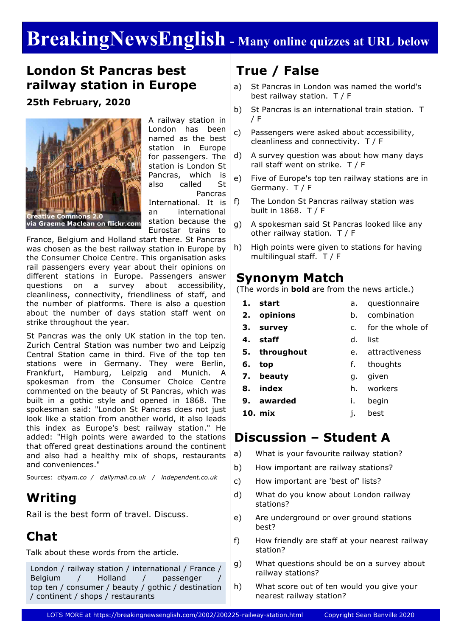# **BreakingNewsEnglish - Many online quizzes at URL below**

## **London St Pancras best railway station in Europe**

**25th February, 2020**



A railway station in London has been named as the best station in Europe for passengers. The station is London St Pancras, which is also called St Pancras International. It is an international station because the Eurostar trains to

France, Belgium and Holland start there. St Pancras was chosen as the best railway station in Europe by the Consumer Choice Centre. This organisation asks rail passengers every year about their opinions on different stations in Europe. Passengers answer questions on a survey about accessibility, cleanliness, connectivity, friendliness of staff, and the number of platforms. There is also a question about the number of days station staff went on strike throughout the year.

St Pancras was the only UK station in the top ten. Zurich Central Station was number two and Leipzig Central Station came in third. Five of the top ten stations were in Germany. They were Berlin, Frankfurt, Hamburg, Leipzig and Munich. A spokesman from the Consumer Choice Centre commented on the beauty of St Pancras, which was built in a gothic style and opened in 1868. The spokesman said: "London St Pancras does not just look like a station from another world, it also leads this index as Europe's best railway station." He added: "High points were awarded to the stations that offered great destinations around the continent and also had a healthy mix of shops, restaurants and conveniences."

Sources: *cityam.co / dailymail.co.uk / independent.co.uk*

## **Writing**

Rail is the best form of travel. Discuss.

## **Chat**

Talk about these words from the article.

```
London / railway station / international / France /
Belgium / Holland / passenger
top ten / consumer / beauty / gothic / destination
/ continent / shops / restaurants
```
# **True / False**

- a) St Pancras in London was named the world's best railway station. T / F
- b) St Pancras is an international train station. T / F
- c) Passengers were asked about accessibility, cleanliness and connectivity. T / F
- d) A survey question was about how many days rail staff went on strike. T / F
- e) Five of Europe's top ten railway stations are in Germany. T / F
- f) The London St Pancras railway station was built in 1868. T / F
- g) A spokesman said St Pancras looked like any other railway station. T / F
- h) High points were given to stations for having multilingual staff. T / F

### **Synonym Match**

(The words in **bold** are from the news article.)

- **1. start**
- **2. opinions**
	-
	-

**4. staff**

- **3. survey**
- c. for the whole of
- d. list

a. questionnaire b. combination

- **5. throughout** e. attractiveness
- **6. top** f. thoughts
- **7. beauty** g. given
- **8. index** h. workers
- **9. awarded** i. begin
- **10. mix**
- j. best

## **Discussion – Student A**

- a) What is your favourite railway station?
- b) How important are railway stations?
- c) How important are 'best of' lists?
- d) What do you know about London railway stations?
- e) Are underground or over ground stations best?
- f) How friendly are staff at your nearest railway station?
- g) What questions should be on a survey about railway stations?
- h) What score out of ten would you give your nearest railway station?